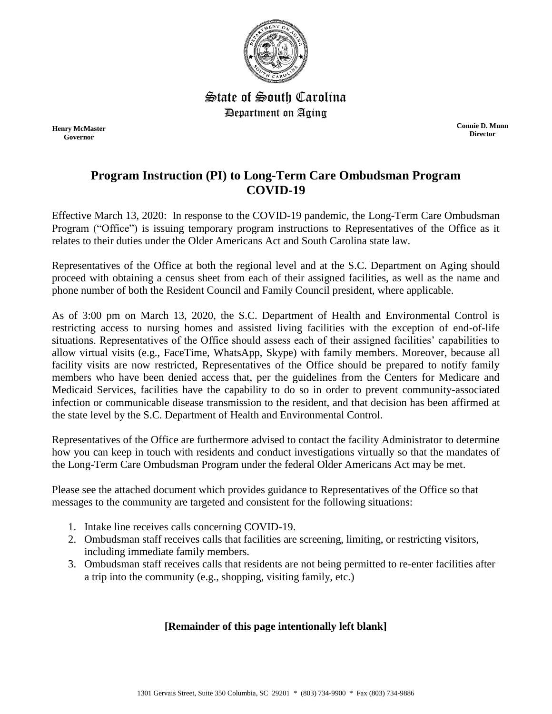

State of South Carolina Department on Aging

**Henry McMaster Governor**

**Connie D. Munn Director**

# **Program Instruction (PI) to Long-Term Care Ombudsman Program COVID-19**

Effective March 13, 2020: In response to the COVID-19 pandemic, the Long-Term Care Ombudsman Program ("Office") is issuing temporary program instructions to Representatives of the Office as it relates to their duties under the Older Americans Act and South Carolina state law.

Representatives of the Office at both the regional level and at the S.C. Department on Aging should proceed with obtaining a census sheet from each of their assigned facilities, as well as the name and phone number of both the Resident Council and Family Council president, where applicable.

As of 3:00 pm on March 13, 2020, the S.C. Department of Health and Environmental Control is restricting access to nursing homes and assisted living facilities with the exception of end-of-life situations. Representatives of the Office should assess each of their assigned facilities' capabilities to allow virtual visits (e.g., FaceTime, WhatsApp, Skype) with family members. Moreover, because all facility visits are now restricted, Representatives of the Office should be prepared to notify family members who have been denied access that, per the guidelines from the Centers for Medicare and Medicaid Services, facilities have the capability to do so in order to prevent community-associated infection or communicable disease transmission to the resident, and that decision has been affirmed at the state level by the S.C. Department of Health and Environmental Control.

Representatives of the Office are furthermore advised to contact the facility Administrator to determine how you can keep in touch with residents and conduct investigations virtually so that the mandates of the Long-Term Care Ombudsman Program under the federal Older Americans Act may be met.

Please see the attached document which provides guidance to Representatives of the Office so that messages to the community are targeted and consistent for the following situations:

- 1. Intake line receives calls concerning COVID-19.
- 2. Ombudsman staff receives calls that facilities are screening, limiting, or restricting visitors, including immediate family members.
- 3. Ombudsman staff receives calls that residents are not being permitted to re-enter facilities after a trip into the community (e.g., shopping, visiting family, etc.)

### **[Remainder of this page intentionally left blank]**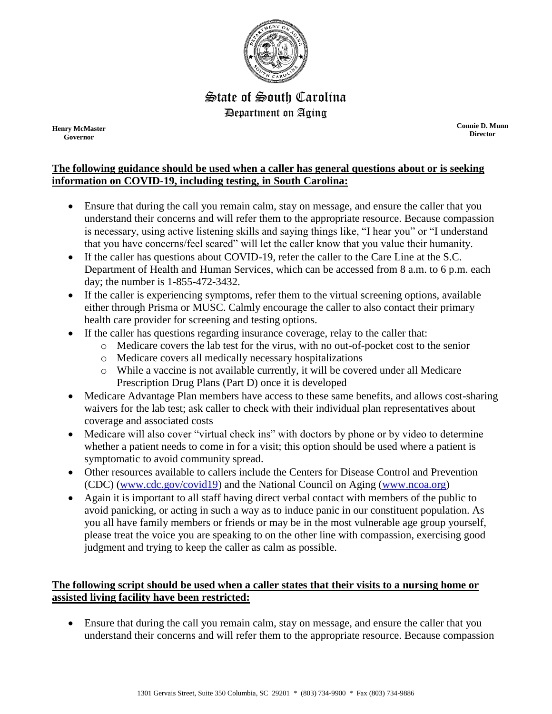

## State of South Carolina Department on Aging

**Henry McMaster Governor**

**Connie D. Munn Director**

#### **The following guidance should be used when a caller has general questions about or is seeking information on COVID-19, including testing, in South Carolina:**

- Ensure that during the call you remain calm, stay on message, and ensure the caller that you understand their concerns and will refer them to the appropriate resource. Because compassion is necessary, using active listening skills and saying things like, "I hear you" or "I understand that you have concerns/feel scared" will let the caller know that you value their humanity.
- If the caller has questions about COVID-19, refer the caller to the Care Line at the S.C. Department of Health and Human Services, which can be accessed from 8 a.m. to 6 p.m. each day; the number is 1-855-472-3432.
- If the caller is experiencing symptoms, refer them to the virtual screening options, available either through Prisma or MUSC. Calmly encourage the caller to also contact their primary health care provider for screening and testing options.
- If the caller has questions regarding insurance coverage, relay to the caller that:
	- o Medicare covers the lab test for the virus, with no out-of-pocket cost to the senior
	- o Medicare covers all medically necessary hospitalizations
	- o While a vaccine is not available currently, it will be covered under all Medicare Prescription Drug Plans (Part D) once it is developed
- Medicare Advantage Plan members have access to these same benefits, and allows cost-sharing waivers for the lab test; ask caller to check with their individual plan representatives about coverage and associated costs
- Medicare will also cover "virtual check ins" with doctors by phone or by video to determine whether a patient needs to come in for a visit; this option should be used where a patient is symptomatic to avoid community spread.
- Other resources available to callers include the Centers for Disease Control and Prevention (CDC) [\(www.cdc.gov/covid19\)](http://www.cdc.gov/covid19) and the National Council on Aging [\(www.ncoa.org\)](http://www.ncoa.org/)
- Again it is important to all staff having direct verbal contact with members of the public to avoid panicking, or acting in such a way as to induce panic in our constituent population. As you all have family members or friends or may be in the most vulnerable age group yourself, please treat the voice you are speaking to on the other line with compassion, exercising good judgment and trying to keep the caller as calm as possible.

#### **The following script should be used when a caller states that their visits to a nursing home or assisted living facility have been restricted:**

 Ensure that during the call you remain calm, stay on message, and ensure the caller that you understand their concerns and will refer them to the appropriate resource. Because compassion